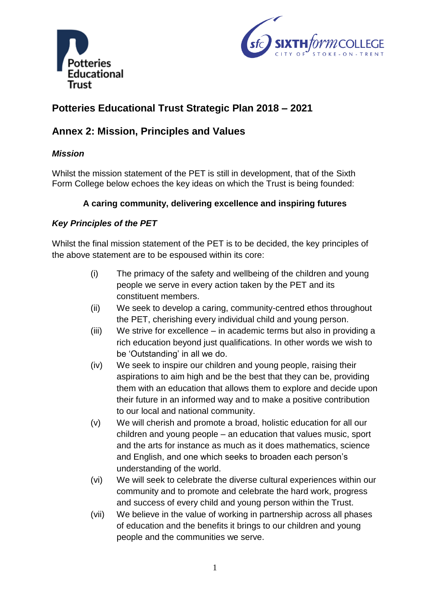



# **Potteries Educational Trust Strategic Plan 2018 – 2021**

## **Annex 2: Mission, Principles and Values**

## *Mission*

Whilst the mission statement of the PET is still in development, that of the Sixth Form College below echoes the key ideas on which the Trust is being founded:

## **A caring community, delivering excellence and inspiring futures**

## *Key Principles of the PET*

Whilst the final mission statement of the PET is to be decided, the key principles of the above statement are to be espoused within its core:

- (i) The primacy of the safety and wellbeing of the children and young people we serve in every action taken by the PET and its constituent members.
- (ii) We seek to develop a caring, community-centred ethos throughout the PET, cherishing every individual child and young person.
- (iii) We strive for excellence in academic terms but also in providing a rich education beyond just qualifications. In other words we wish to be 'Outstanding' in all we do.
- (iv) We seek to inspire our children and young people, raising their aspirations to aim high and be the best that they can be, providing them with an education that allows them to explore and decide upon their future in an informed way and to make a positive contribution to our local and national community.
- (v) We will cherish and promote a broad, holistic education for all our children and young people – an education that values music, sport and the arts for instance as much as it does mathematics, science and English, and one which seeks to broaden each person's understanding of the world.
- (vi) We will seek to celebrate the diverse cultural experiences within our community and to promote and celebrate the hard work, progress and success of every child and young person within the Trust.
- (vii) We believe in the value of working in partnership across all phases of education and the benefits it brings to our children and young people and the communities we serve.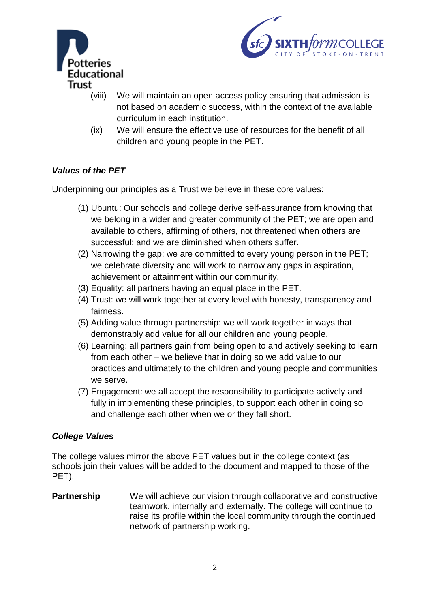



- (viii) We will maintain an open access policy ensuring that admission is not based on academic success, within the context of the available curriculum in each institution.
- (ix) We will ensure the effective use of resources for the benefit of all children and young people in the PET.

## *Values of the PET*

Underpinning our principles as a Trust we believe in these core values:

- (1) Ubuntu: Our schools and college derive self-assurance from knowing that we belong in a wider and greater community of the PET; we are open and available to others, affirming of others, not threatened when others are successful; and we are diminished when others suffer.
- (2) Narrowing the gap: we are committed to every young person in the PET; we celebrate diversity and will work to narrow any gaps in aspiration, achievement or attainment within our community.
- (3) Equality: all partners having an equal place in the PET.
- (4) Trust: we will work together at every level with honesty, transparency and fairness.
- (5) Adding value through partnership: we will work together in ways that demonstrably add value for all our children and young people.
- (6) Learning: all partners gain from being open to and actively seeking to learn from each other – we believe that in doing so we add value to our practices and ultimately to the children and young people and communities we serve.
- (7) Engagement: we all accept the responsibility to participate actively and fully in implementing these principles, to support each other in doing so and challenge each other when we or they fall short.

## *College Values*

The college values mirror the above PET values but in the college context (as schools join their values will be added to the document and mapped to those of the PET).

**Partnership** We will achieve our vision through collaborative and constructive teamwork, internally and externally. The college will continue to raise its profile within the local community through the continued network of partnership working.